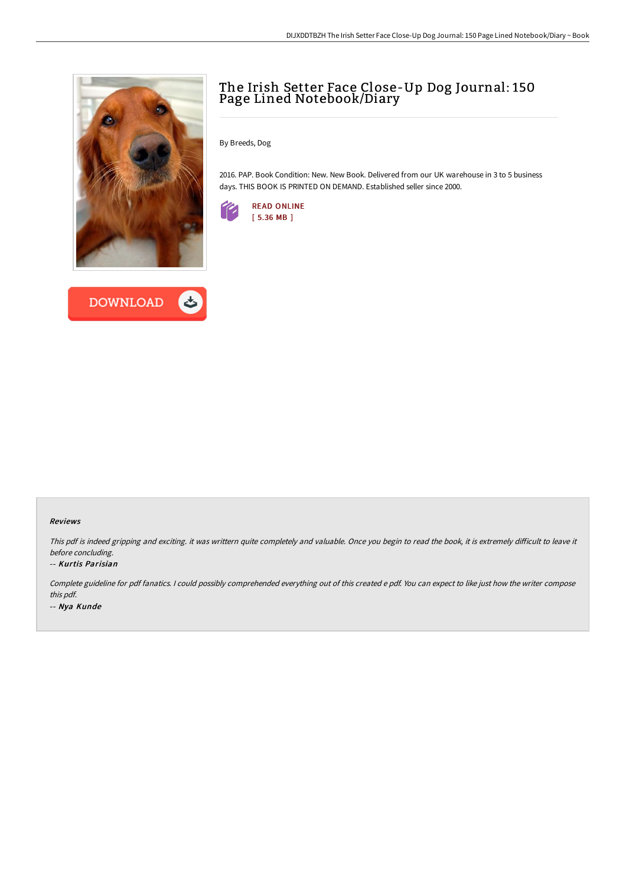



## The Irish Setter Face Close-Up Dog Journal: 150 Page Lined Notebook/Diary

By Breeds, Dog

2016. PAP. Book Condition: New. New Book. Delivered from our UK warehouse in 3 to 5 business days. THIS BOOK IS PRINTED ON DEMAND. Established seller since 2000.



## Reviews

This pdf is indeed gripping and exciting. it was writtern quite completely and valuable. Once you begin to read the book, it is extremely difficult to leave it before concluding.

## -- Kurtis Parisian

Complete guideline for pdf fanatics. <sup>I</sup> could possibly comprehended everything out of this created <sup>e</sup> pdf. You can expect to like just how the writer compose this pdf. -- Nya Kunde